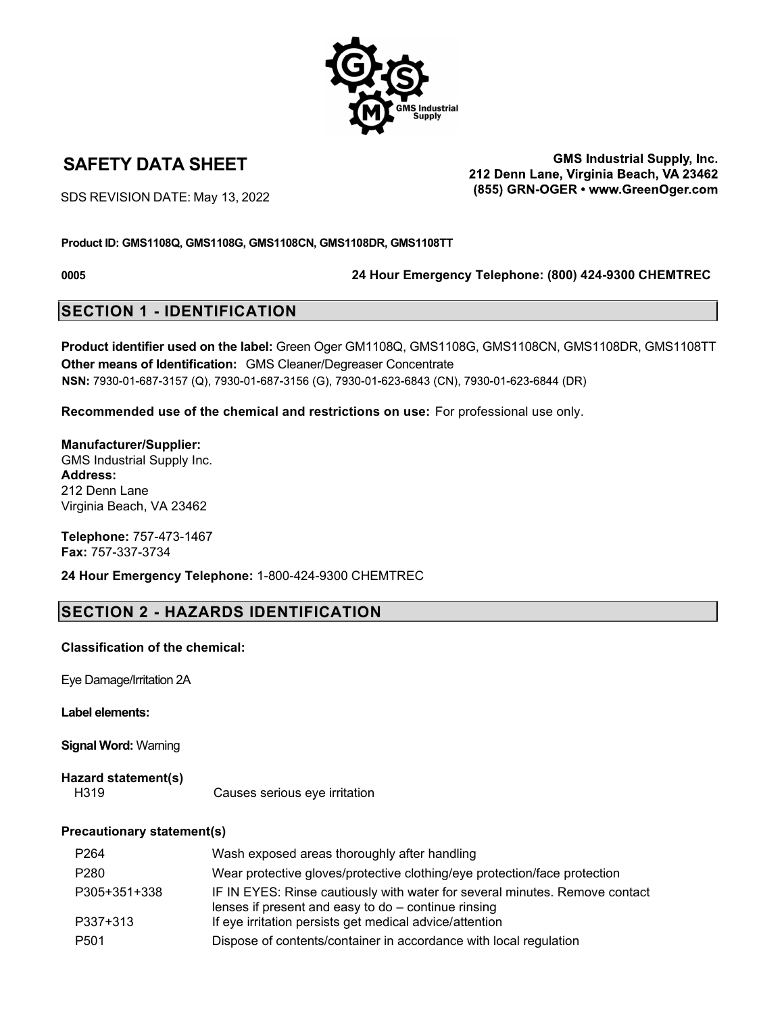

**GMS Industrial Supply, Inc.** SAFETY DATA SHEET GALL THE SAFETY DATA SHEET SALL THE TOWER THE SAFETY DATA SHEET (855) GRN-OGER · www.GreenOger.com

SDS REVISION DATE: May 13, 2022

### **Product ID: GMS1108Q, GMS1108G, GMS1108CN, GMS1108DR, GMS1108TT**

**0005 24 Hour Emergency Telephone: (800) 424-9300 CHEMTREC**

## **SECTION 1 - IDENTIFICATION**

**Product identifier used on the label:** Green Oger GM1108Q, GMS1108G, GMS1108CN, GMS1108DR, GMS1108TT **Other means of Identification:** GMS Cleaner/Degreaser Concentrate NSN: 7930-01-687-3157 (Q), 7930-01-687-3156 (G), 7930-01-623-6843 (CN), 7930-01-623-6844 (DR)

**Recommended use of the chemical and restrictions on use:** For professional use only.

**Manufacturer/Supplier:** GMS Industrial Supply Inc. **Address:** 212 Denn Lane Virginia Beach, VA 23462

**Telephone:** 757-473-1467 **Fax:** 757-337-3734

**24 Hour Emergency Telephone:** 1-800-424-9300 CHEMTREC

# **SECTION 2 - HAZARDS IDENTIFICATION**

### **Classification of the chemical:**

Eye Damage/Irritation 2A

**Label elements:**

**Signal Word:** Warning

**Hazard statement(s)** Causes serious eye irritation

### **Precautionary statement(s)**

| P <sub>264</sub> | Wash exposed areas thoroughly after handling                                                                                         |
|------------------|--------------------------------------------------------------------------------------------------------------------------------------|
| P280             | Wear protective gloves/protective clothing/eye protection/face protection                                                            |
| P305+351+338     | IF IN EYES: Rinse cautiously with water for several minutes. Remove contact<br>lenses if present and easy to $do$ – continue rinsing |
| P337+313         | If eye irritation persists get medical advice/attention                                                                              |
| P <sub>501</sub> | Dispose of contents/container in accordance with local regulation                                                                    |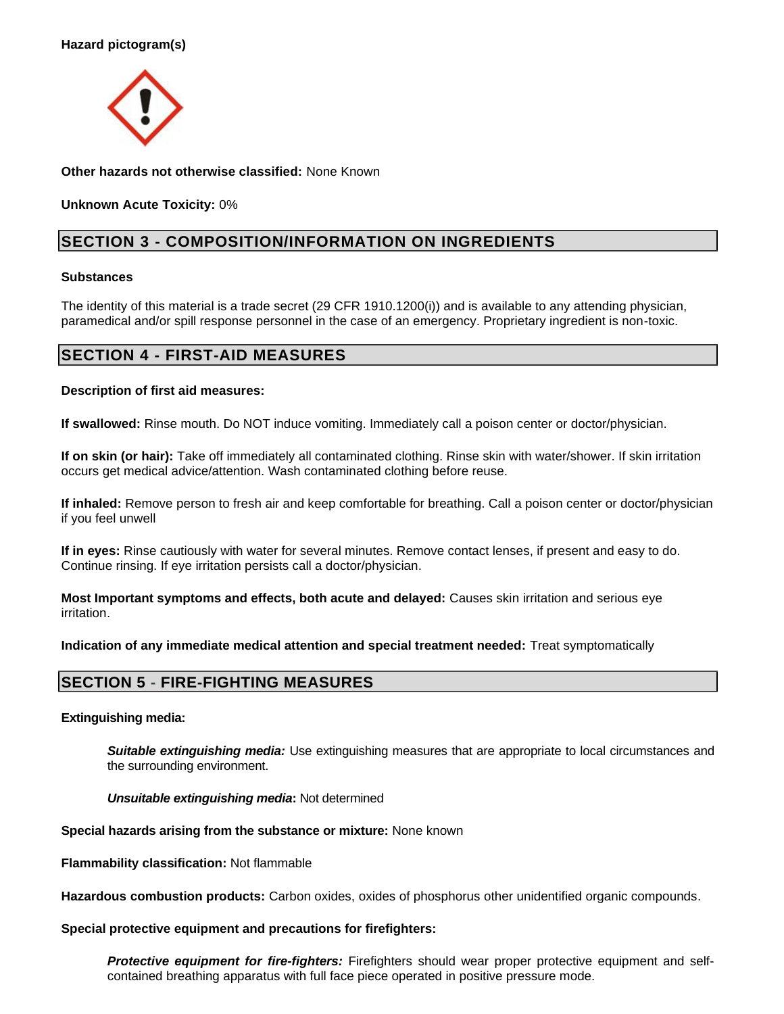

**Other hazards not otherwise classified:** None Known

**Unknown Acute Toxicity:** 0%

# **SECTION 3 - COMPOSITION/INFORMATION ON INGREDIENTS**

### **Substances**

The identity of this material is a trade secret (29 CFR 1910.1200(i)) and is available to any attending physician, paramedical and/or spill response personnel in the case of an emergency. Proprietary ingredient is non-toxic.

# **SECTION 4 - FIRST-AID MEASURES**

### **Description of first aid measures:**

**If swallowed:** Rinse mouth. Do NOT induce vomiting. Immediately call a poison center or doctor/physician.

**If on skin (or hair):** Take off immediately all contaminated clothing. Rinse skin with water/shower. If skin irritation occurs get medical advice/attention. Wash contaminated clothing before reuse.

**If inhaled:** Remove person to fresh air and keep comfortable for breathing. Call a poison center or doctor/physician if you feel unwell

**If in eyes:** Rinse cautiously with water for several minutes. Remove contact lenses, if present and easy to do. Continue rinsing. If eye irritation persists call a doctor/physician.

**Most Important symptoms and effects, both acute and delayed:** Causes skin irritation and serious eye irritation.

**Indication of any immediate medical attention and special treatment needed:** Treat symptomatically

## **SECTION 5 - FIRE-FIGHTING MEASURES**

### **Extinguishing media:**

**Suitable extinguishing media:** Use extinguishing measures that are appropriate to local circumstances and the surrounding environment.

*Unsuitable extinguishing media***:** Not determined

**Special hazards arising from the substance or mixture:** None known

**Flammability classification:** Not flammable

**Hazardous combustion products:** Carbon oxides, oxides of phosphorus other unidentified organic compounds.

### **Special protective equipment and precautions for firefighters:**

**Protective equipment for fire-fighters:** Firefighters should wear proper protective equipment and selfcontained breathing apparatus with full face piece operated in positive pressure mode.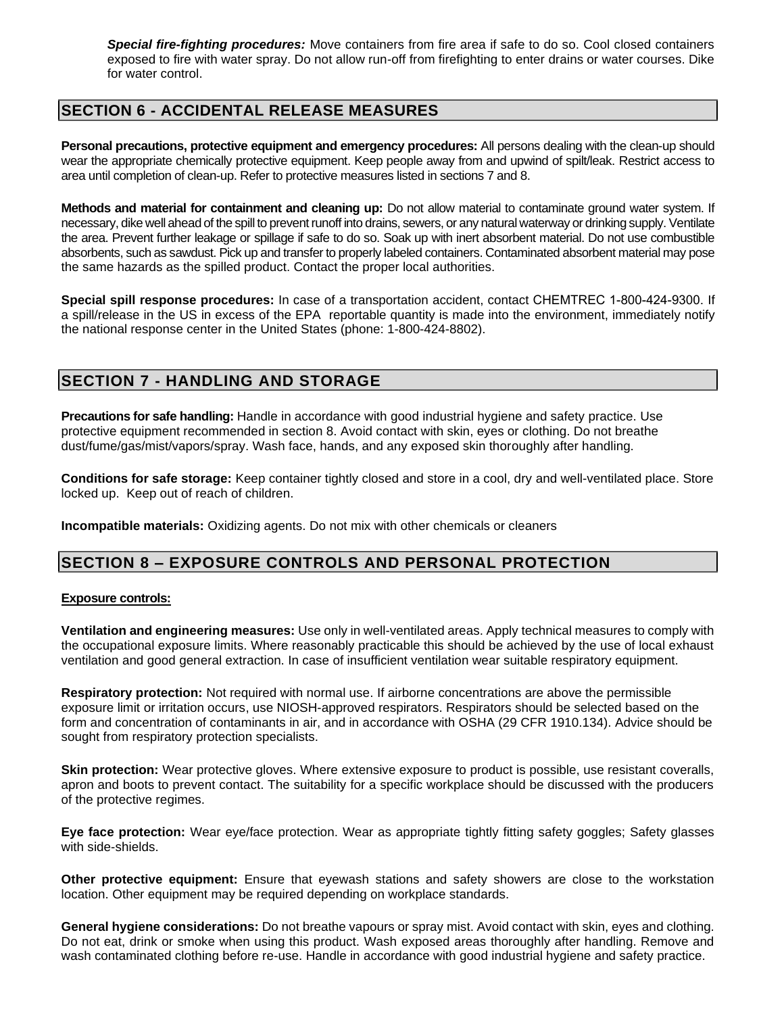*Special fire-fighting procedures:* Move containers from fire area if safe to do so. Cool closed containers exposed to fire with water spray. Do not allow run-off from firefighting to enter drains or water courses. Dike for water control.

### **SECTION 6 - ACCIDENTAL RELEASE MEASURES**

**Personal precautions, protective equipment and emergency procedures:** All persons dealing with the clean-up should wear the appropriate chemically protective equipment. Keep people away from and upwind of spilt/leak. Restrict access to area until completion of clean-up. Refer to protective measures listed in sections 7 and 8.

**Methods and material for containment and cleaning up:** Do not allow material to contaminate ground water system. If necessary, dike well ahead of the spill to prevent runoff into drains, sewers, or any natural waterway or drinking supply. Ventilate the area. Prevent further leakage or spillage if safe to do so. Soak up with inert absorbent material. Do not use combustible absorbents, such as sawdust. Pick up and transfer to properly labeled containers. Contaminated absorbent material may pose the same hazards as the spilled product. Contact the proper local authorities.

**Special spill response procedures:** In case of a transportation accident, contact CHEMTREC 1-800-424-9300. If a spill/release in the US in excess of the EPA reportable quantity is made into the environment, immediately notify the national response center in the United States (phone: 1-800-424-8802).

### **SECTION 7 - HANDLING AND STORAGE**

**Precautions for safe handling:** Handle in accordance with good industrial hygiene and safety practice. Use protective equipment recommended in section 8. Avoid contact with skin, eyes or clothing. Do not breathe dust/fume/gas/mist/vapors/spray. Wash face, hands, and any exposed skin thoroughly after handling.

**Conditions for safe storage:** Keep container tightly closed and store in a cool, dry and well-ventilated place. Store locked up. Keep out of reach of children.

**Incompatible materials:** Oxidizing agents. Do not mix with other chemicals or cleaners

## **SECTION 8 – EXPOSURE CONTROLS AND PERSONAL PROTECTION**

### **Exposure controls:**

**Ventilation and engineering measures:** Use only in well-ventilated areas. Apply technical measures to comply with the occupational exposure limits. Where reasonably practicable this should be achieved by the use of local exhaust ventilation and good general extraction. In case of insufficient ventilation wear suitable respiratory equipment.

**Respiratory protection:** Not required with normal use. If airborne concentrations are above the permissible exposure limit or irritation occurs, use NIOSH-approved respirators. Respirators should be selected based on the form and concentration of contaminants in air, and in accordance with OSHA (29 CFR 1910.134). Advice should be sought from respiratory protection specialists.

**Skin protection:** Wear protective gloves. Where extensive exposure to product is possible, use resistant coveralls, apron and boots to prevent contact. The suitability for a specific workplace should be discussed with the producers of the protective regimes.

**Eye face protection:** Wear eye/face protection. Wear as appropriate tightly fitting safety goggles; Safety glasses with side-shields.

**Other protective equipment:** Ensure that eyewash stations and safety showers are close to the workstation location. Other equipment may be required depending on workplace standards.

**General hygiene considerations:** Do not breathe vapours or spray mist. Avoid contact with skin, eyes and clothing. Do not eat, drink or smoke when using this product. Wash exposed areas thoroughly after handling. Remove and wash contaminated clothing before re-use. Handle in accordance with good industrial hygiene and safety practice.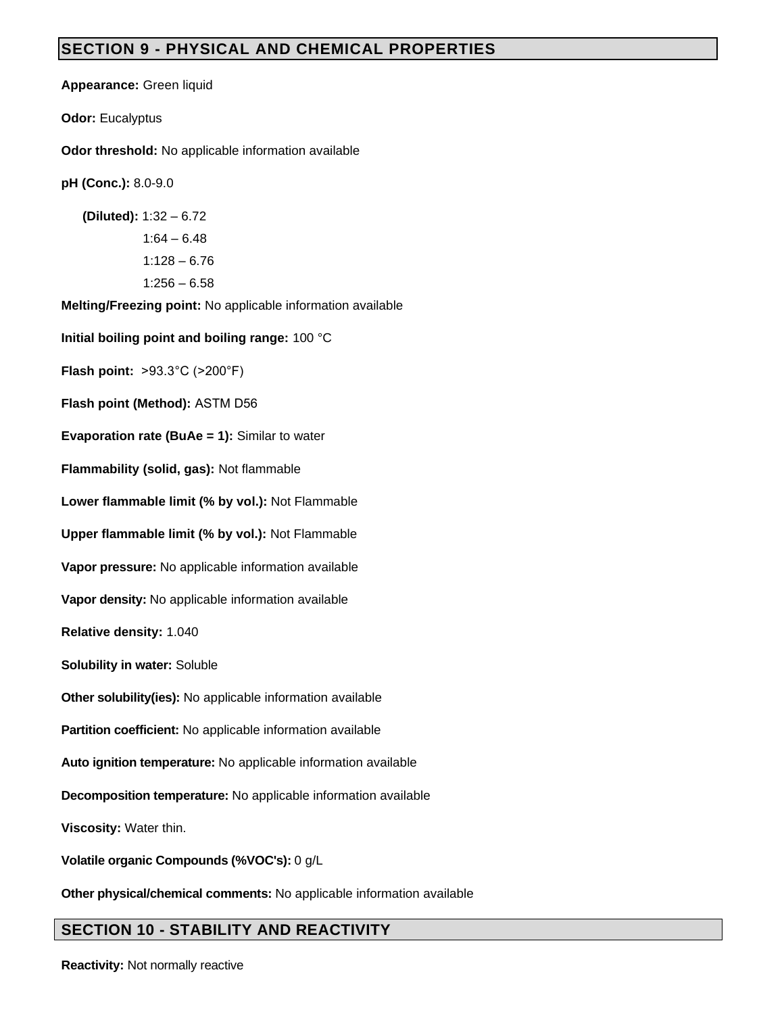# **SECTION 9 - PHYSICAL AND CHEMICAL PROPERTIES**

**Appearance:** Green liquid

**Odor:** Eucalyptus

**Odor threshold:** No applicable information available

**pH (Conc.):** 8.0-9.0

 **(Diluted):** 1:32 – 6.72  $1:64 - 6.48$ 1:128 – 6.76  $1:256 - 6.58$ 

**Melting/Freezing point:** No applicable information available

**Initial boiling point and boiling range:** 100 °C

**Flash point:** >93.3°C (>200°F)

**Flash point (Method):** ASTM D56

**Evaporation rate (BuAe = 1):** Similar to water

**Flammability (solid, gas):** Not flammable

**Lower flammable limit (% by vol.):** Not Flammable

**Upper flammable limit (% by vol.):** Not Flammable

**Vapor pressure:** No applicable information available

**Vapor density:** No applicable information available

**Relative density:** 1.040

**Solubility in water:** Soluble

**Other solubility(ies):** No applicable information available

**Partition coefficient:** No applicable information available

**Auto ignition temperature:** No applicable information available

**Decomposition temperature:** No applicable information available

**Viscosity:** Water thin.

**Volatile organic Compounds (%VOC's):** 0 g/L

**Other physical/chemical comments:** No applicable information available

# **SECTION 10 - STABILITY AND REACTIVITY**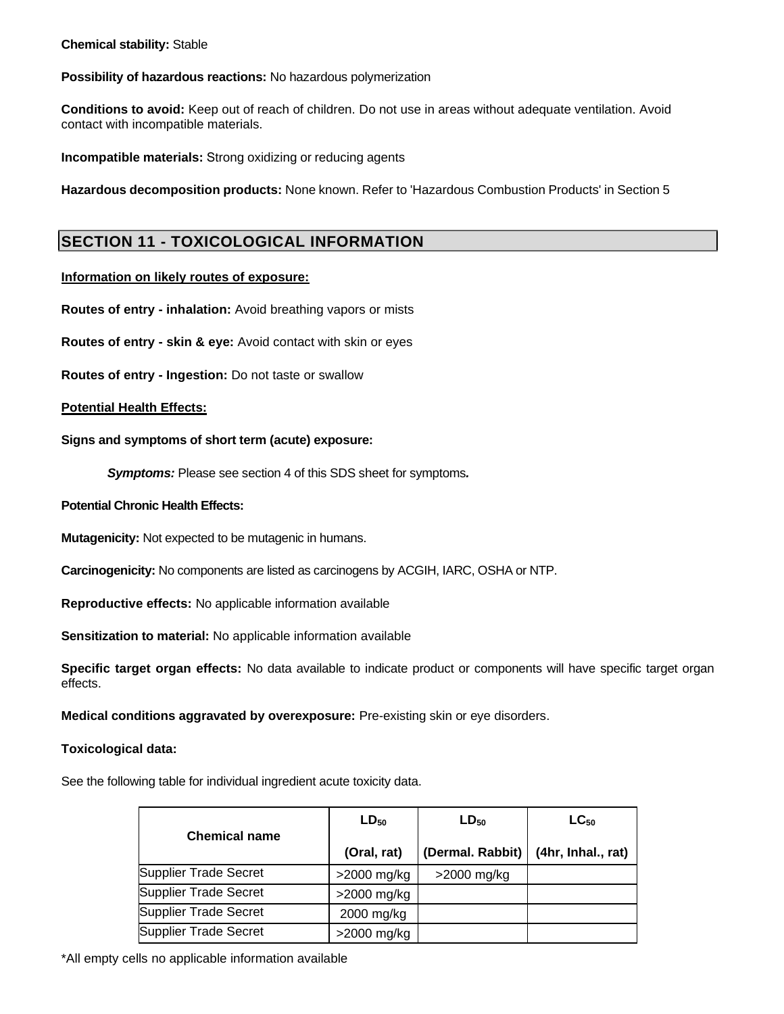### **Chemical stability:** Stable

### **Possibility of hazardous reactions:** No hazardous polymerization

**Conditions to avoid:** Keep out of reach of children. Do not use in areas without adequate ventilation. Avoid contact with incompatible materials.

**Incompatible materials:** Strong oxidizing or reducing agents

**Hazardous decomposition products:** None known. Refer to 'Hazardous Combustion Products' in Section 5

## **SECTION 11 - TOXICOLOGICAL INFORMATION**

### **Information on likely routes of exposure:**

**Routes of entry - inhalation:** Avoid breathing vapors or mists

**Routes of entry - skin & eye:** Avoid contact with skin or eyes

**Routes of entry - Ingestion:** Do not taste or swallow

### **Potential Health Effects:**

**Signs and symptoms of short term (acute) exposure:**

*Symptoms:* Please see section 4 of this SDS sheet for symptoms*.*

### **Potential Chronic Health Effects:**

**Mutagenicity:** Not expected to be mutagenic in humans.

**Carcinogenicity:** No components are listed as carcinogens by ACGIH, IARC, OSHA or NTP.

**Reproductive effects:** No applicable information available

**Sensitization to material:** No applicable information available

**Specific target organ effects:** No data available to indicate product or components will have specific target organ effects.

**Medical conditions aggravated by overexposure:** Pre-existing skin or eye disorders.

### Toxic **Toxicological data:**

See the following table for individual ingredient acute toxicity data.

|                              | $LD_{50}$     | $LD_{50}$        | $LC_{50}$          |
|------------------------------|---------------|------------------|--------------------|
| <b>Chemical name</b>         | (Oral, rat)   | (Dermal. Rabbit) | (4hr, Inhal., rat) |
| Supplier Trade Secret        | $>2000$ mg/kg | $>2000$ mg/kg    |                    |
| <b>Supplier Trade Secret</b> | $>2000$ mg/kg |                  |                    |
| <b>Supplier Trade Secret</b> | 2000 mg/kg    |                  |                    |
| <b>Supplier Trade Secret</b> | >2000 mg/kg   |                  |                    |

\*All empty cells no applicable information available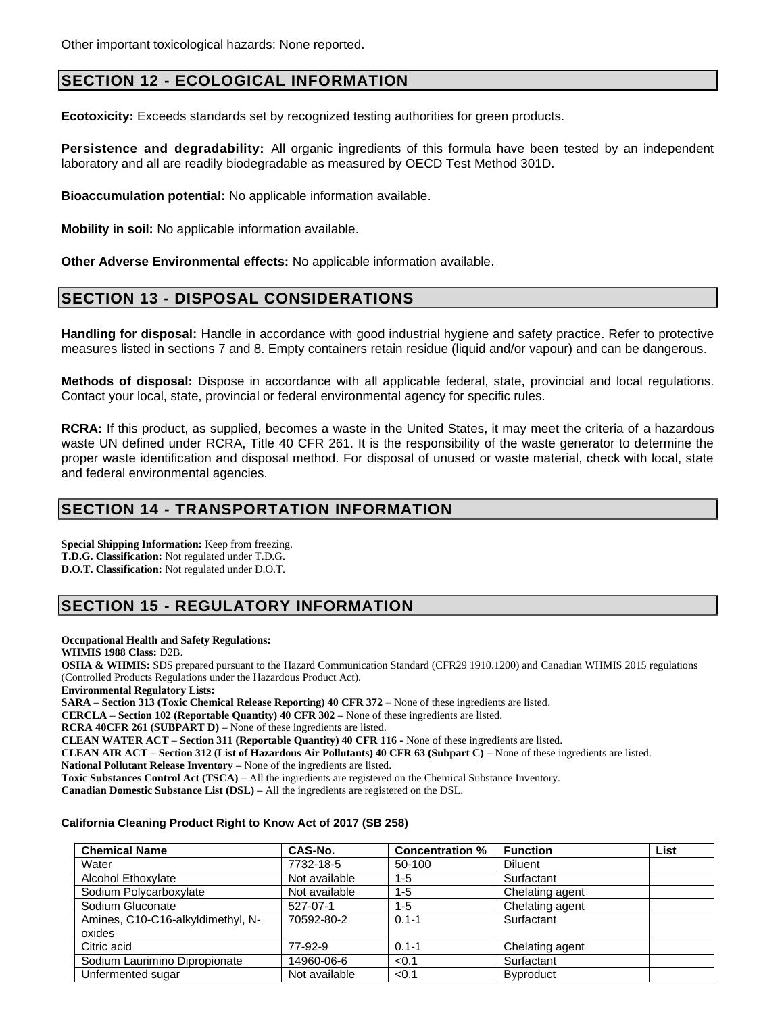# **SECTION 12 - ECOLOGICAL INFORMATION**

**Ecotoxicity:** Exceeds standards set by recognized testing authorities for green products.

**Persistence and degradability:** All organic ingredients of this formula have been tested by an independent laboratory and all are readily biodegradable as measured by OECD Test Method 301D.

**Bioaccumulation potential:** No applicable information available.

**Mobility in soil:** No applicable information available.

**Other Adverse Environmental effects:** No applicable information available.

### **SECTION 13 - DISPOSAL CONSIDERATIONS**

**Handling for disposal:** Handle in accordance with good industrial hygiene and safety practice. Refer to protective measures listed in sections 7 and 8. Empty containers retain residue (liquid and/or vapour) and can be dangerous.

**Methods of disposal:** Dispose in accordance with all applicable federal, state, provincial and local regulations. Contact your local, state, provincial or federal environmental agency for specific rules.

**RCRA:** If this product, as supplied, becomes a waste in the United States, it may meet the criteria of a hazardous waste UN defined under RCRA, Title 40 CFR 261. It is the responsibility of the waste generator to determine the proper waste identification and disposal method. For disposal of unused or waste material, check with local, state and federal environmental agencies.

### **SECTION 14 - TRANSPORTATION INFORMATION**

**Special Shipping Information:** Keep from freezing. **T.D.G. Classification:** Not regulated under T.D.G. **D.O.T. Classification:** Not regulated under D.O.T.

# **SECTION 15 - REGULATORY INFORMATION**

**Occupational Health and Safety Regulations:**

**WHMIS 1988 Class:** D2B.

**OSHA & WHMIS:** SDS prepared pursuant to the Hazard Communication Standard (CFR29 1910.1200) and Canadian WHMIS 2015 regulations (Controlled Products Regulations under the Hazardous Product Act).

**Environmental Regulatory Lists:**

**SARA – Section 313 (Toxic Chemical Release Reporting) 40 CFR 372** – None of these ingredients are listed.

**CERCLA – Section 102 (Reportable Quantity) 40 CFR 302 –** None of these ingredients are listed.

**RCRA 40CFR 261 (SUBPART D) –** None of these ingredients are listed.

**CLEAN WATER ACT – Section 311 (Reportable Quantity) 40 CFR 116 -** None of these ingredients are listed.

**CLEAN AIR ACT – Section 312 (List of Hazardous Air Pollutants) 40 CFR 63 (Subpart C) –** None of these ingredients are listed.

**National Pollutant Release Inventory –** None of the ingredients are listed.

**Toxic Substances Control Act (TSCA) –** All the ingredients are registered on the Chemical Substance Inventory.

**Canadian Domestic Substance List (DSL) –** All the ingredients are registered on the DSL.

### **California Cleaning Product Right to Know Act of 2017 (SB 258)**

| <b>Chemical Name</b>              | CAS-No.       | <b>Concentration %</b> | <b>Function</b>  | List |
|-----------------------------------|---------------|------------------------|------------------|------|
| Water                             | 7732-18-5     | 50-100                 | <b>Diluent</b>   |      |
| Alcohol Ethoxylate                | Not available | $1 - 5$                | Surfactant       |      |
| Sodium Polycarboxylate            | Not available | $1 - 5$                | Chelating agent  |      |
| Sodium Gluconate                  | 527-07-1      | $1 - 5$                | Chelating agent  |      |
| Amines, C10-C16-alkyldimethyl, N- | 70592-80-2    | $0.1 - 1$              | Surfactant       |      |
| oxides                            |               |                        |                  |      |
| Citric acid                       | 77-92-9       | $0.1 - 1$              | Chelating agent  |      |
| Sodium Laurimino Dipropionate     | 14960-06-6    | < 0.1                  | Surfactant       |      |
| Unfermented sugar                 | Not available | < 0.1                  | <b>Byproduct</b> |      |